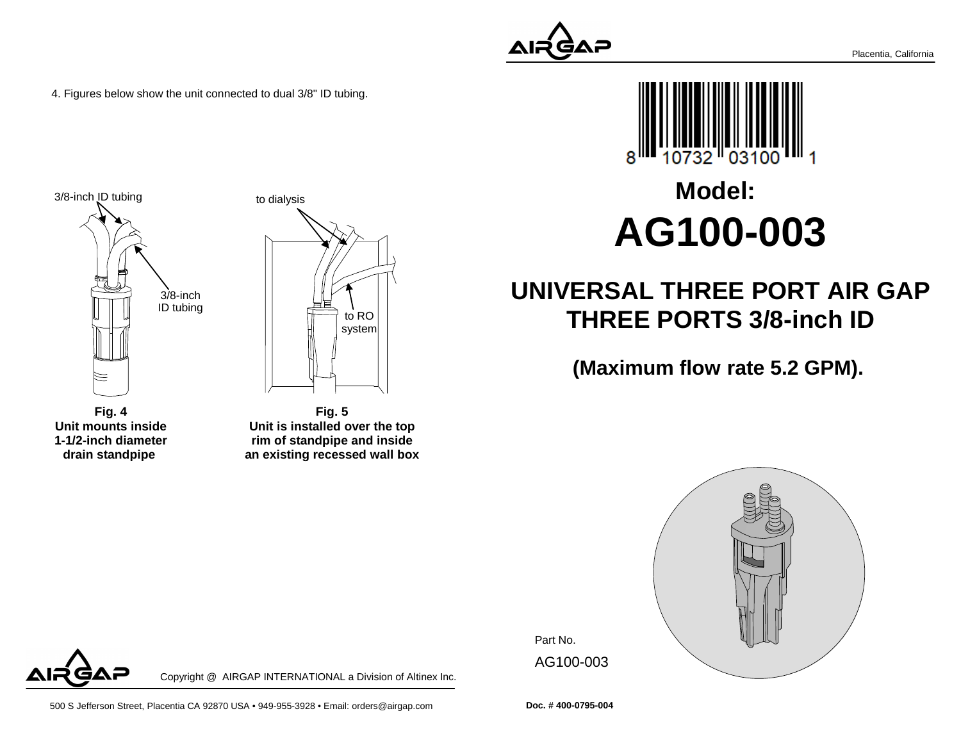4. Figures below show the unit connected to dual 3/8" ID tubing.







AΞ

**Fig. 5 Unit is installed over the top rim of standpipe and insidean existing recessed wall box**

Copyright @ AIRGAP INTERNATIONAL a Division of Altinex Inc.





# **Model:AG100-003**

## **UNIVERSAL THREE PORT AIR GAPTHREE PORTS 3/8-inch ID**

**(Maximum flow rate 5.2 GPM).**



Part No. AG100-003

**Doc. # 400-0795-004**